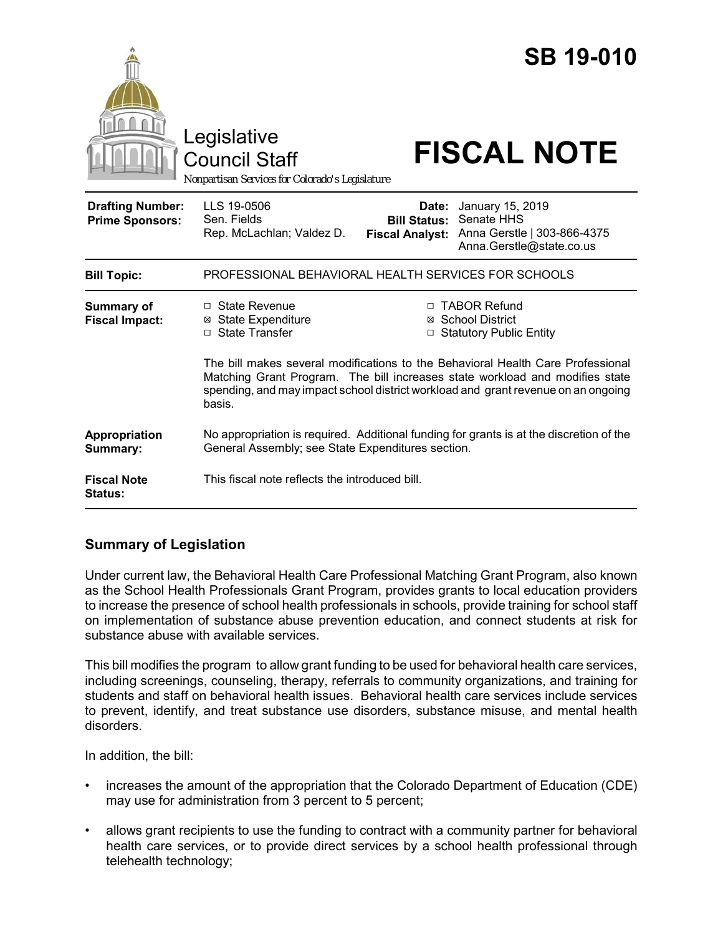|                                                   | Legislative<br><b>Council Staff</b><br>Nonpartisan Services for Colorado's Legislature                                                                                                         |                                                                                                                                                                                                                                                                                                                          | <b>SB 19-010</b><br><b>FISCAL NOTE</b>                                                    |  |
|---------------------------------------------------|------------------------------------------------------------------------------------------------------------------------------------------------------------------------------------------------|--------------------------------------------------------------------------------------------------------------------------------------------------------------------------------------------------------------------------------------------------------------------------------------------------------------------------|-------------------------------------------------------------------------------------------|--|
| <b>Drafting Number:</b><br><b>Prime Sponsors:</b> | LLS 19-0506<br>Sen. Fields<br>Rep. McLachlan; Valdez D.                                                                                                                                        | Date:<br><b>Bill Status:</b><br><b>Fiscal Analyst:</b>                                                                                                                                                                                                                                                                   | January 15, 2019<br>Senate HHS<br>Anna Gerstle   303-866-4375<br>Anna.Gerstle@state.co.us |  |
| <b>Bill Topic:</b>                                | PROFESSIONAL BEHAVIORAL HEALTH SERVICES FOR SCHOOLS                                                                                                                                            |                                                                                                                                                                                                                                                                                                                          |                                                                                           |  |
| <b>Summary of</b><br><b>Fiscal Impact:</b>        | □ State Revenue<br><b>⊠ State Expenditure</b><br>□ State Transfer<br>basis.                                                                                                                    | □ TABOR Refund<br>⊠ School District<br>□ Statutory Public Entity<br>The bill makes several modifications to the Behavioral Health Care Professional<br>Matching Grant Program. The bill increases state workload and modifies state<br>spending, and may impact school district workload and grant revenue on an ongoing |                                                                                           |  |
| Appropriation<br>Summary:<br><b>Fiscal Note</b>   | No appropriation is required. Additional funding for grants is at the discretion of the<br>General Assembly; see State Expenditures section.<br>This fiscal note reflects the introduced bill. |                                                                                                                                                                                                                                                                                                                          |                                                                                           |  |
| Status:                                           |                                                                                                                                                                                                |                                                                                                                                                                                                                                                                                                                          |                                                                                           |  |

# **Summary of Legislation**

Under current law, the Behavioral Health Care Professional Matching Grant Program, also known as the School Health Professionals Grant Program, provides grants to local education providers to increase the presence of school health professionals in schools, provide training for school staff on implementation of substance abuse prevention education, and connect students at risk for substance abuse with available services.

This bill modifies the program to allow grant funding to be used for behavioral health care services, including screenings, counseling, therapy, referrals to community organizations, and training for students and staff on behavioral health issues. Behavioral health care services include services to prevent, identify, and treat substance use disorders, substance misuse, and mental health disorders.

In addition, the bill:

- increases the amount of the appropriation that the Colorado Department of Education (CDE) may use for administration from 3 percent to 5 percent;
- allows grant recipients to use the funding to contract with a community partner for behavioral health care services, or to provide direct services by a school health professional through telehealth technology;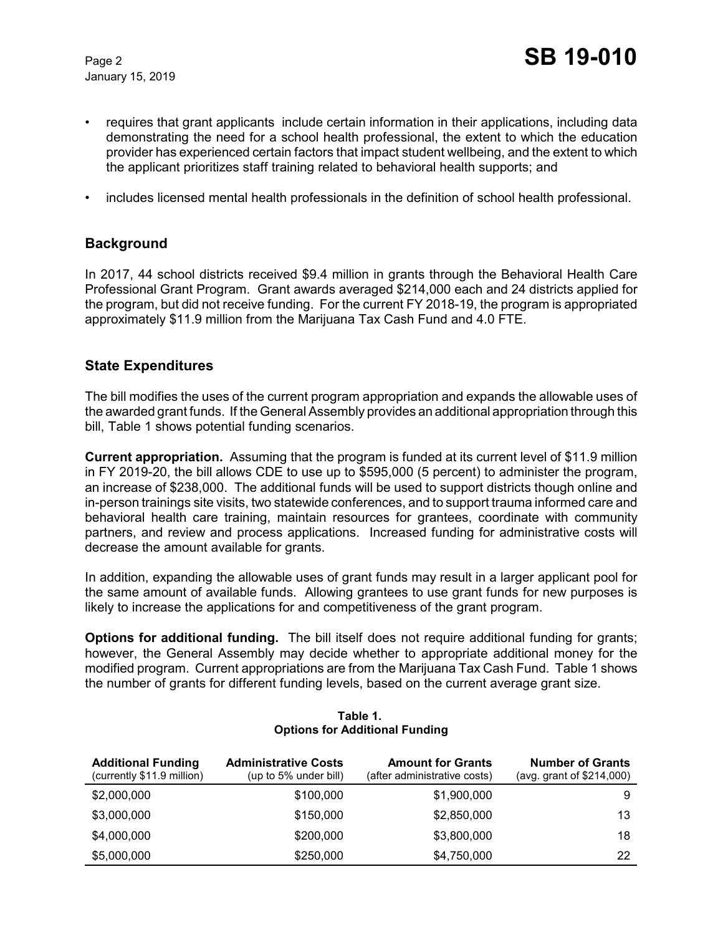January 15, 2019

- requires that grant applicants include certain information in their applications, including data demonstrating the need for a school health professional, the extent to which the education provider has experienced certain factors that impact student wellbeing, and the extent to which the applicant prioritizes staff training related to behavioral health supports; and
- includes licensed mental health professionals in the definition of school health professional.

## **Background**

In 2017, 44 school districts received \$9.4 million in grants through the Behavioral Health Care Professional Grant Program. Grant awards averaged \$214,000 each and 24 districts applied for the program, but did not receive funding. For the current FY 2018-19, the program is appropriated approximately \$11.9 million from the Marijuana Tax Cash Fund and 4.0 FTE.

### **State Expenditures**

The bill modifies the uses of the current program appropriation and expands the allowable uses of the awarded grant funds. If the General Assembly provides an additional appropriation through this bill, Table 1 shows potential funding scenarios.

**Current appropriation.** Assuming that the program is funded at its current level of \$11.9 million in FY 2019-20, the bill allows CDE to use up to \$595,000 (5 percent) to administer the program, an increase of \$238,000. The additional funds will be used to support districts though online and in-person trainings site visits, two statewide conferences, and to support trauma informed care and behavioral health care training, maintain resources for grantees, coordinate with community partners, and review and process applications. Increased funding for administrative costs will decrease the amount available for grants.

In addition, expanding the allowable uses of grant funds may result in a larger applicant pool for the same amount of available funds. Allowing grantees to use grant funds for new purposes is likely to increase the applications for and competitiveness of the grant program.

**Options for additional funding.** The bill itself does not require additional funding for grants; however, the General Assembly may decide whether to appropriate additional money for the modified program. Current appropriations are from the Marijuana Tax Cash Fund. Table 1 shows the number of grants for different funding levels, based on the current average grant size.

| <b>Additional Funding</b><br>(currently \$11.9 million) | <b>Administrative Costs</b><br>(up to 5% under bill) | <b>Amount for Grants</b><br>(after administrative costs) | <b>Number of Grants</b><br>(avg. grant of \$214,000) |
|---------------------------------------------------------|------------------------------------------------------|----------------------------------------------------------|------------------------------------------------------|
| \$2,000,000                                             | \$100,000                                            | \$1,900,000                                              | 9                                                    |
| \$3,000,000                                             | \$150,000                                            | \$2,850,000                                              | 13                                                   |
| \$4,000,000                                             | \$200,000                                            | \$3,800,000                                              | 18                                                   |
| \$5,000,000                                             | \$250,000                                            | \$4,750,000                                              | 22                                                   |

#### **Table 1. Options for Additional Funding**